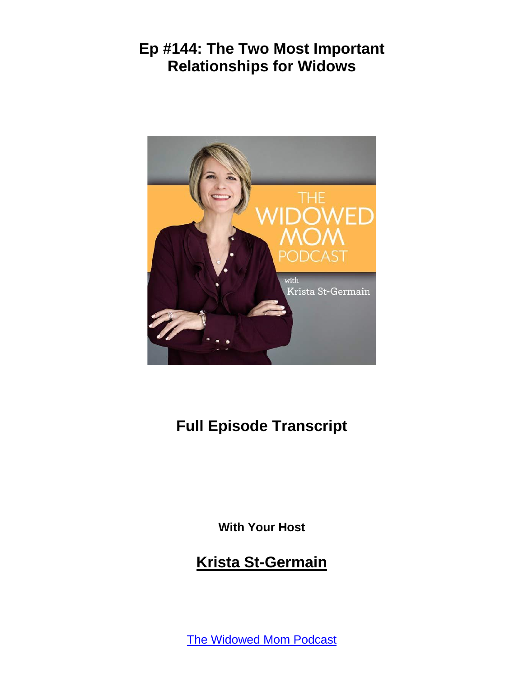

# **Full Episode Transcript**

**With Your Host**

# **Krista St-Germain**

[The Widowed Mom Podcast](https://coachingwithkrista.com/podcast)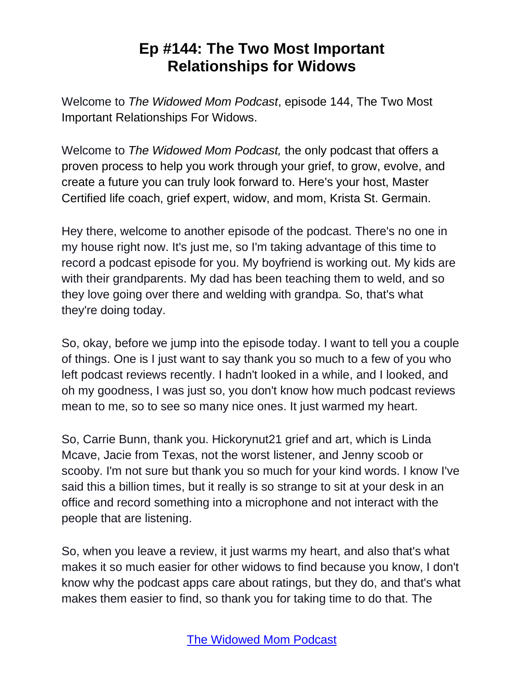Welcome to *The Widowed Mom Podcast*, episode 144, The Two Most Important Relationships For Widows.

Welcome to *The Widowed Mom Podcast,* the only podcast that offers a proven process to help you work through your grief, to grow, evolve, and create a future you can truly look forward to. Here's your host, Master Certified life coach, grief expert, widow, and mom, Krista St. Germain.

Hey there, welcome to another episode of the podcast. There's no one in my house right now. It's just me, so I'm taking advantage of this time to record a podcast episode for you. My boyfriend is working out. My kids are with their grandparents. My dad has been teaching them to weld, and so they love going over there and welding with grandpa. So, that's what they're doing today.

So, okay, before we jump into the episode today. I want to tell you a couple of things. One is I just want to say thank you so much to a few of you who left podcast reviews recently. I hadn't looked in a while, and I looked, and oh my goodness, I was just so, you don't know how much podcast reviews mean to me, so to see so many nice ones. It just warmed my heart.

So, Carrie Bunn, thank you. Hickorynut21 grief and art, which is Linda Mcave, Jacie from Texas, not the worst listener, and Jenny scoob or scooby. I'm not sure but thank you so much for your kind words. I know I've said this a billion times, but it really is so strange to sit at your desk in an office and record something into a microphone and not interact with the people that are listening.

So, when you leave a review, it just warms my heart, and also that's what makes it so much easier for other widows to find because you know, I don't know why the podcast apps care about ratings, but they do, and that's what makes them easier to find, so thank you for taking time to do that. The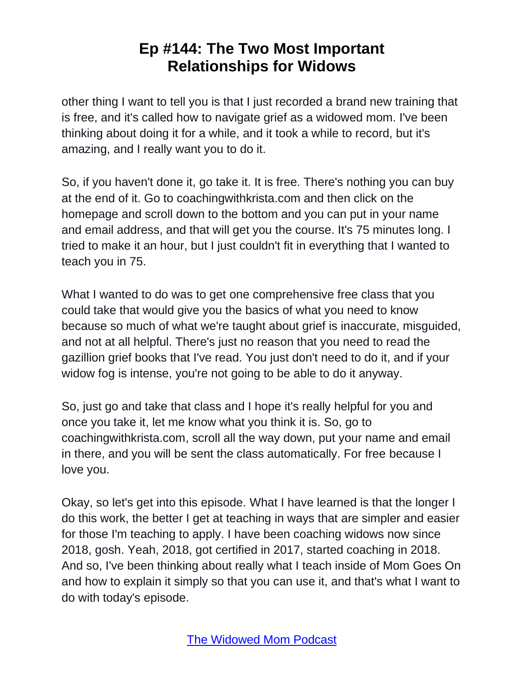other thing I want to tell you is that I just recorded a brand new training that is free, and it's called how to navigate grief as a widowed mom. I've been thinking about doing it for a while, and it took a while to record, but it's amazing, and I really want you to do it.

So, if you haven't done it, go take it. It is free. There's nothing you can buy at the end of it. Go to coachingwithkrista.com and then click on the homepage and scroll down to the bottom and you can put in your name and email address, and that will get you the course. It's 75 minutes long. I tried to make it an hour, but I just couldn't fit in everything that I wanted to teach you in 75.

What I wanted to do was to get one comprehensive free class that you could take that would give you the basics of what you need to know because so much of what we're taught about grief is inaccurate, misguided, and not at all helpful. There's just no reason that you need to read the gazillion grief books that I've read. You just don't need to do it, and if your widow fog is intense, you're not going to be able to do it anyway.

So, just go and take that class and I hope it's really helpful for you and once you take it, let me know what you think it is. So, go to coachingwithkrista.com, scroll all the way down, put your name and email in there, and you will be sent the class automatically. For free because I love you.

Okay, so let's get into this episode. What I have learned is that the longer I do this work, the better I get at teaching in ways that are simpler and easier for those I'm teaching to apply. I have been coaching widows now since 2018, gosh. Yeah, 2018, got certified in 2017, started coaching in 2018. And so, I've been thinking about really what I teach inside of Mom Goes On and how to explain it simply so that you can use it, and that's what I want to do with today's episode.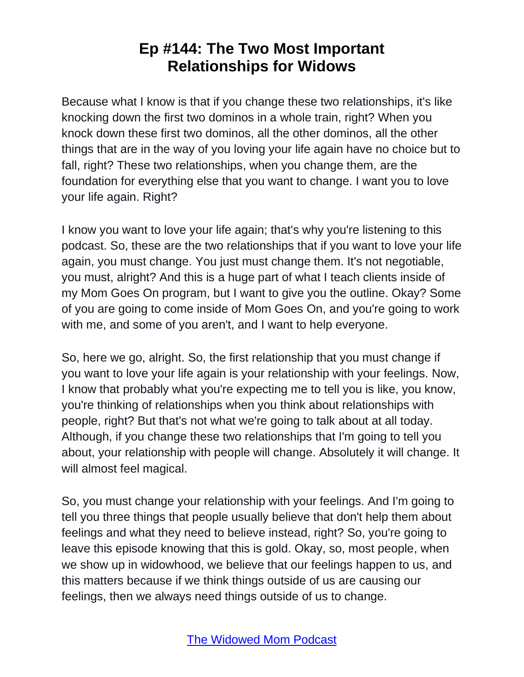Because what I know is that if you change these two relationships, it's like knocking down the first two dominos in a whole train, right? When you knock down these first two dominos, all the other dominos, all the other things that are in the way of you loving your life again have no choice but to fall, right? These two relationships, when you change them, are the foundation for everything else that you want to change. I want you to love your life again. Right?

I know you want to love your life again; that's why you're listening to this podcast. So, these are the two relationships that if you want to love your life again, you must change. You just must change them. It's not negotiable, you must, alright? And this is a huge part of what I teach clients inside of my Mom Goes On program, but I want to give you the outline. Okay? Some of you are going to come inside of Mom Goes On, and you're going to work with me, and some of you aren't, and I want to help everyone.

So, here we go, alright. So, the first relationship that you must change if you want to love your life again is your relationship with your feelings. Now, I know that probably what you're expecting me to tell you is like, you know, you're thinking of relationships when you think about relationships with people, right? But that's not what we're going to talk about at all today. Although, if you change these two relationships that I'm going to tell you about, your relationship with people will change. Absolutely it will change. It will almost feel magical.

So, you must change your relationship with your feelings. And I'm going to tell you three things that people usually believe that don't help them about feelings and what they need to believe instead, right? So, you're going to leave this episode knowing that this is gold. Okay, so, most people, when we show up in widowhood, we believe that our feelings happen to us, and this matters because if we think things outside of us are causing our feelings, then we always need things outside of us to change.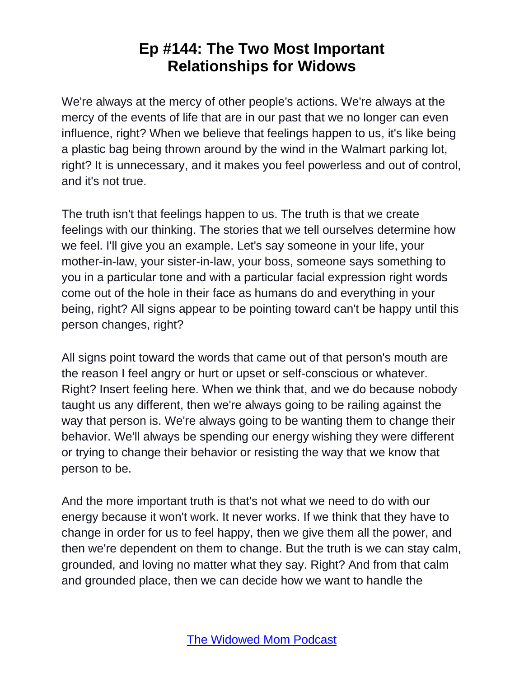We're always at the mercy of other people's actions. We're always at the mercy of the events of life that are in our past that we no longer can even influence, right? When we believe that feelings happen to us, it's like being a plastic bag being thrown around by the wind in the Walmart parking lot, right? It is unnecessary, and it makes you feel powerless and out of control, and it's not true.

The truth isn't that feelings happen to us. The truth is that we create feelings with our thinking. The stories that we tell ourselves determine how we feel. I'll give you an example. Let's say someone in your life, your mother-in-law, your sister-in-law, your boss, someone says something to you in a particular tone and with a particular facial expression right words come out of the hole in their face as humans do and everything in your being, right? All signs appear to be pointing toward can't be happy until this person changes, right?

All signs point toward the words that came out of that person's mouth are the reason I feel angry or hurt or upset or self-conscious or whatever. Right? Insert feeling here. When we think that, and we do because nobody taught us any different, then we're always going to be railing against the way that person is. We're always going to be wanting them to change their behavior. We'll always be spending our energy wishing they were different or trying to change their behavior or resisting the way that we know that person to be.

And the more important truth is that's not what we need to do with our energy because it won't work. It never works. If we think that they have to change in order for us to feel happy, then we give them all the power, and then we're dependent on them to change. But the truth is we can stay calm, grounded, and loving no matter what they say. Right? And from that calm and grounded place, then we can decide how we want to handle the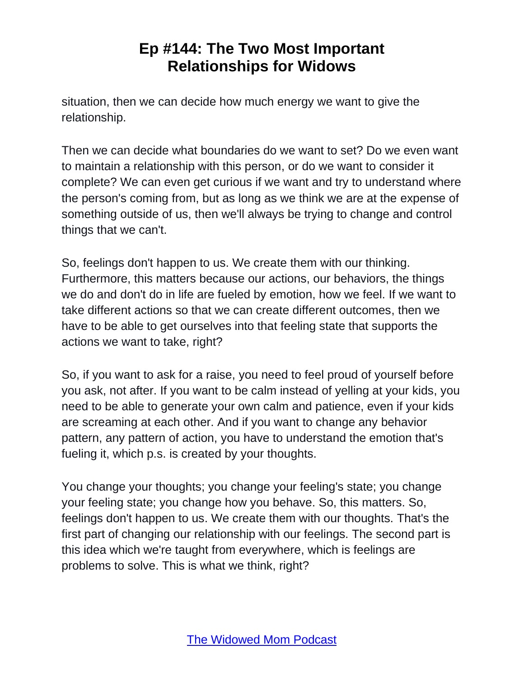situation, then we can decide how much energy we want to give the relationship.

Then we can decide what boundaries do we want to set? Do we even want to maintain a relationship with this person, or do we want to consider it complete? We can even get curious if we want and try to understand where the person's coming from, but as long as we think we are at the expense of something outside of us, then we'll always be trying to change and control things that we can't.

So, feelings don't happen to us. We create them with our thinking. Furthermore, this matters because our actions, our behaviors, the things we do and don't do in life are fueled by emotion, how we feel. If we want to take different actions so that we can create different outcomes, then we have to be able to get ourselves into that feeling state that supports the actions we want to take, right?

So, if you want to ask for a raise, you need to feel proud of yourself before you ask, not after. If you want to be calm instead of yelling at your kids, you need to be able to generate your own calm and patience, even if your kids are screaming at each other. And if you want to change any behavior pattern, any pattern of action, you have to understand the emotion that's fueling it, which p.s. is created by your thoughts.

You change your thoughts; you change your feeling's state; you change your feeling state; you change how you behave. So, this matters. So, feelings don't happen to us. We create them with our thoughts. That's the first part of changing our relationship with our feelings. The second part is this idea which we're taught from everywhere, which is feelings are problems to solve. This is what we think, right?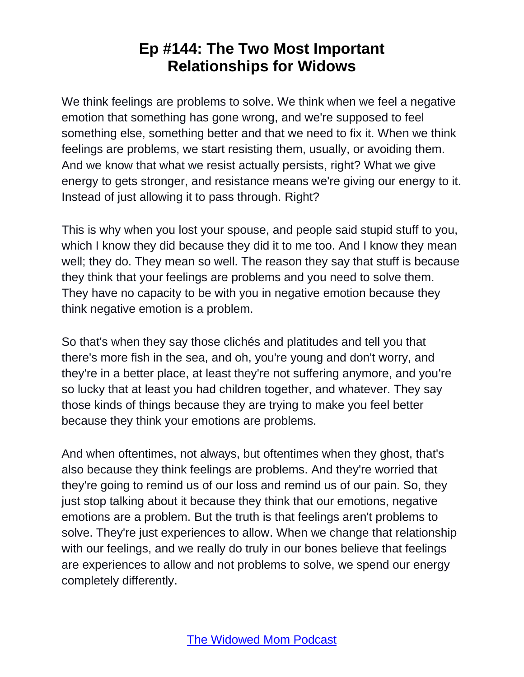We think feelings are problems to solve. We think when we feel a negative emotion that something has gone wrong, and we're supposed to feel something else, something better and that we need to fix it. When we think feelings are problems, we start resisting them, usually, or avoiding them. And we know that what we resist actually persists, right? What we give energy to gets stronger, and resistance means we're giving our energy to it. Instead of just allowing it to pass through. Right?

This is why when you lost your spouse, and people said stupid stuff to you, which I know they did because they did it to me too. And I know they mean well; they do. They mean so well. The reason they say that stuff is because they think that your feelings are problems and you need to solve them. They have no capacity to be with you in negative emotion because they think negative emotion is a problem.

So that's when they say those clichés and platitudes and tell you that there's more fish in the sea, and oh, you're young and don't worry, and they're in a better place, at least they're not suffering anymore, and you're so lucky that at least you had children together, and whatever. They say those kinds of things because they are trying to make you feel better because they think your emotions are problems.

And when oftentimes, not always, but oftentimes when they ghost, that's also because they think feelings are problems. And they're worried that they're going to remind us of our loss and remind us of our pain. So, they just stop talking about it because they think that our emotions, negative emotions are a problem. But the truth is that feelings aren't problems to solve. They're just experiences to allow. When we change that relationship with our feelings, and we really do truly in our bones believe that feelings are experiences to allow and not problems to solve, we spend our energy completely differently.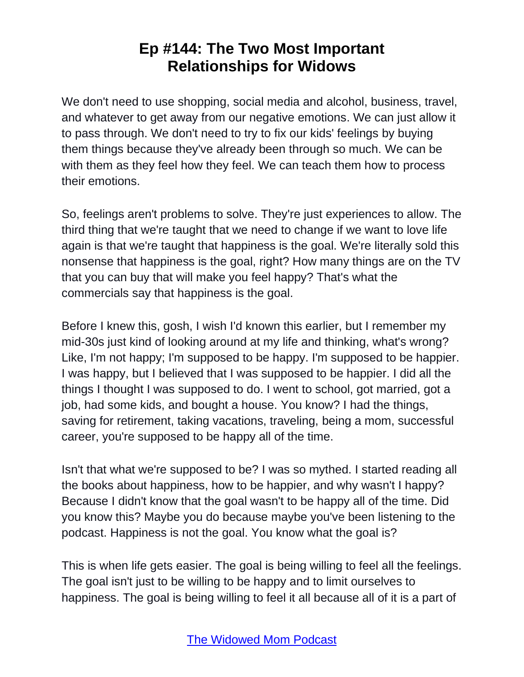We don't need to use shopping, social media and alcohol, business, travel, and whatever to get away from our negative emotions. We can just allow it to pass through. We don't need to try to fix our kids' feelings by buying them things because they've already been through so much. We can be with them as they feel how they feel. We can teach them how to process their emotions.

So, feelings aren't problems to solve. They're just experiences to allow. The third thing that we're taught that we need to change if we want to love life again is that we're taught that happiness is the goal. We're literally sold this nonsense that happiness is the goal, right? How many things are on the TV that you can buy that will make you feel happy? That's what the commercials say that happiness is the goal.

Before I knew this, gosh, I wish I'd known this earlier, but I remember my mid-30s just kind of looking around at my life and thinking, what's wrong? Like, I'm not happy; I'm supposed to be happy. I'm supposed to be happier. I was happy, but I believed that I was supposed to be happier. I did all the things I thought I was supposed to do. I went to school, got married, got a job, had some kids, and bought a house. You know? I had the things, saving for retirement, taking vacations, traveling, being a mom, successful career, you're supposed to be happy all of the time.

Isn't that what we're supposed to be? I was so mythed. I started reading all the books about happiness, how to be happier, and why wasn't I happy? Because I didn't know that the goal wasn't to be happy all of the time. Did you know this? Maybe you do because maybe you've been listening to the podcast. Happiness is not the goal. You know what the goal is?

This is when life gets easier. The goal is being willing to feel all the feelings. The goal isn't just to be willing to be happy and to limit ourselves to happiness. The goal is being willing to feel it all because all of it is a part of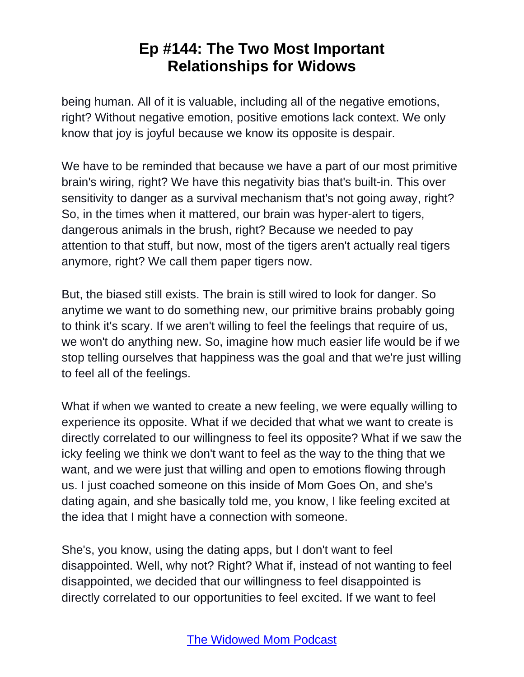being human. All of it is valuable, including all of the negative emotions, right? Without negative emotion, positive emotions lack context. We only know that joy is joyful because we know its opposite is despair.

We have to be reminded that because we have a part of our most primitive brain's wiring, right? We have this negativity bias that's built-in. This over sensitivity to danger as a survival mechanism that's not going away, right? So, in the times when it mattered, our brain was hyper-alert to tigers, dangerous animals in the brush, right? Because we needed to pay attention to that stuff, but now, most of the tigers aren't actually real tigers anymore, right? We call them paper tigers now.

But, the biased still exists. The brain is still wired to look for danger. So anytime we want to do something new, our primitive brains probably going to think it's scary. If we aren't willing to feel the feelings that require of us, we won't do anything new. So, imagine how much easier life would be if we stop telling ourselves that happiness was the goal and that we're just willing to feel all of the feelings.

What if when we wanted to create a new feeling, we were equally willing to experience its opposite. What if we decided that what we want to create is directly correlated to our willingness to feel its opposite? What if we saw the icky feeling we think we don't want to feel as the way to the thing that we want, and we were just that willing and open to emotions flowing through us. I just coached someone on this inside of Mom Goes On, and she's dating again, and she basically told me, you know, I like feeling excited at the idea that I might have a connection with someone.

She's, you know, using the dating apps, but I don't want to feel disappointed. Well, why not? Right? What if, instead of not wanting to feel disappointed, we decided that our willingness to feel disappointed is directly correlated to our opportunities to feel excited. If we want to feel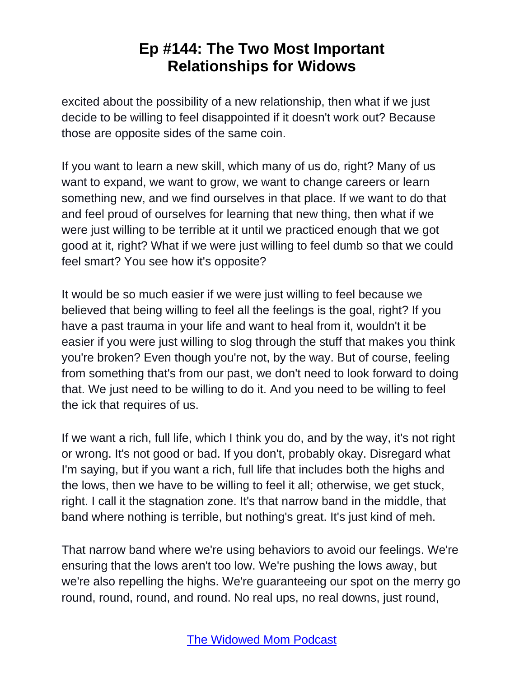excited about the possibility of a new relationship, then what if we just decide to be willing to feel disappointed if it doesn't work out? Because those are opposite sides of the same coin.

If you want to learn a new skill, which many of us do, right? Many of us want to expand, we want to grow, we want to change careers or learn something new, and we find ourselves in that place. If we want to do that and feel proud of ourselves for learning that new thing, then what if we were just willing to be terrible at it until we practiced enough that we got good at it, right? What if we were just willing to feel dumb so that we could feel smart? You see how it's opposite?

It would be so much easier if we were just willing to feel because we believed that being willing to feel all the feelings is the goal, right? If you have a past trauma in your life and want to heal from it, wouldn't it be easier if you were just willing to slog through the stuff that makes you think you're broken? Even though you're not, by the way. But of course, feeling from something that's from our past, we don't need to look forward to doing that. We just need to be willing to do it. And you need to be willing to feel the ick that requires of us.

If we want a rich, full life, which I think you do, and by the way, it's not right or wrong. It's not good or bad. If you don't, probably okay. Disregard what I'm saying, but if you want a rich, full life that includes both the highs and the lows, then we have to be willing to feel it all; otherwise, we get stuck, right. I call it the stagnation zone. It's that narrow band in the middle, that band where nothing is terrible, but nothing's great. It's just kind of meh.

That narrow band where we're using behaviors to avoid our feelings. We're ensuring that the lows aren't too low. We're pushing the lows away, but we're also repelling the highs. We're guaranteeing our spot on the merry go round, round, round, and round. No real ups, no real downs, just round,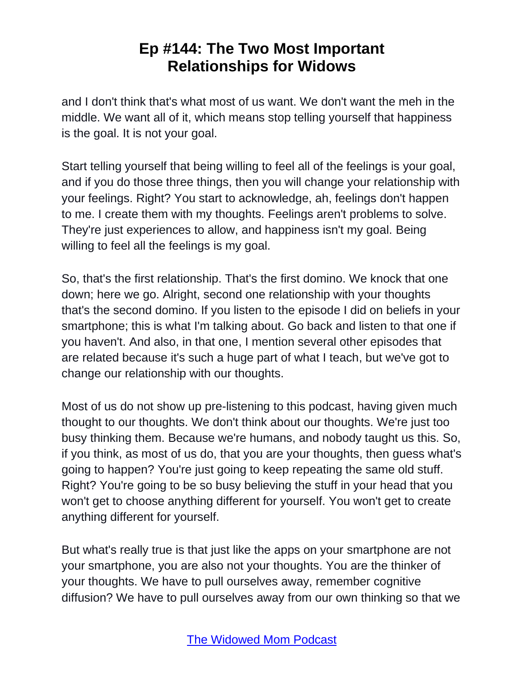and I don't think that's what most of us want. We don't want the meh in the middle. We want all of it, which means stop telling yourself that happiness is the goal. It is not your goal.

Start telling yourself that being willing to feel all of the feelings is your goal, and if you do those three things, then you will change your relationship with your feelings. Right? You start to acknowledge, ah, feelings don't happen to me. I create them with my thoughts. Feelings aren't problems to solve. They're just experiences to allow, and happiness isn't my goal. Being willing to feel all the feelings is my goal.

So, that's the first relationship. That's the first domino. We knock that one down; here we go. Alright, second one relationship with your thoughts that's the second domino. If you listen to the episode I did on beliefs in your smartphone; this is what I'm talking about. Go back and listen to that one if you haven't. And also, in that one, I mention several other episodes that are related because it's such a huge part of what I teach, but we've got to change our relationship with our thoughts.

Most of us do not show up pre-listening to this podcast, having given much thought to our thoughts. We don't think about our thoughts. We're just too busy thinking them. Because we're humans, and nobody taught us this. So, if you think, as most of us do, that you are your thoughts, then guess what's going to happen? You're just going to keep repeating the same old stuff. Right? You're going to be so busy believing the stuff in your head that you won't get to choose anything different for yourself. You won't get to create anything different for yourself.

But what's really true is that just like the apps on your smartphone are not your smartphone, you are also not your thoughts. You are the thinker of your thoughts. We have to pull ourselves away, remember cognitive diffusion? We have to pull ourselves away from our own thinking so that we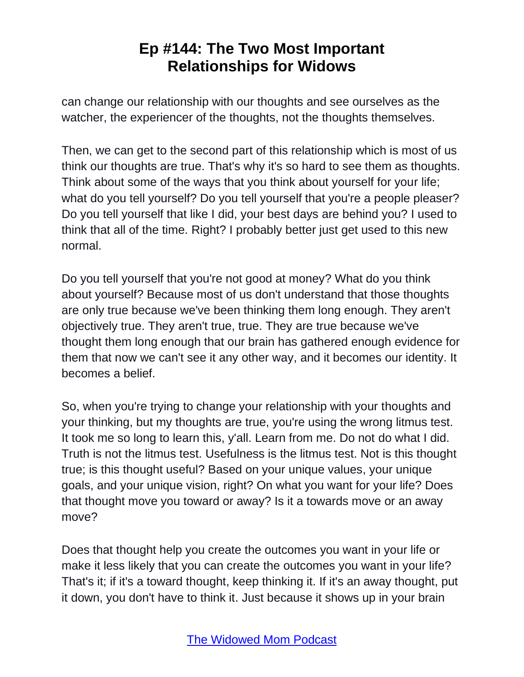can change our relationship with our thoughts and see ourselves as the watcher, the experiencer of the thoughts, not the thoughts themselves.

Then, we can get to the second part of this relationship which is most of us think our thoughts are true. That's why it's so hard to see them as thoughts. Think about some of the ways that you think about yourself for your life; what do you tell yourself? Do you tell yourself that you're a people pleaser? Do you tell yourself that like I did, your best days are behind you? I used to think that all of the time. Right? I probably better just get used to this new normal.

Do you tell yourself that you're not good at money? What do you think about yourself? Because most of us don't understand that those thoughts are only true because we've been thinking them long enough. They aren't objectively true. They aren't true, true. They are true because we've thought them long enough that our brain has gathered enough evidence for them that now we can't see it any other way, and it becomes our identity. It becomes a belief.

So, when you're trying to change your relationship with your thoughts and your thinking, but my thoughts are true, you're using the wrong litmus test. It took me so long to learn this, y'all. Learn from me. Do not do what I did. Truth is not the litmus test. Usefulness is the litmus test. Not is this thought true; is this thought useful? Based on your unique values, your unique goals, and your unique vision, right? On what you want for your life? Does that thought move you toward or away? Is it a towards move or an away move?

Does that thought help you create the outcomes you want in your life or make it less likely that you can create the outcomes you want in your life? That's it; if it's a toward thought, keep thinking it. If it's an away thought, put it down, you don't have to think it. Just because it shows up in your brain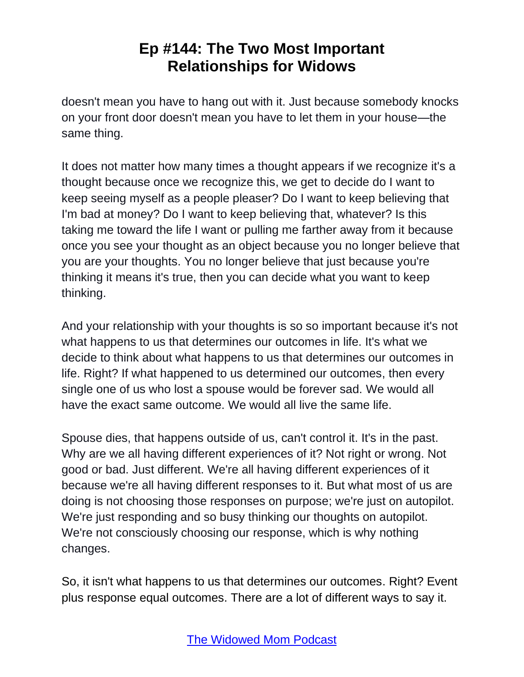doesn't mean you have to hang out with it. Just because somebody knocks on your front door doesn't mean you have to let them in your house—the same thing.

It does not matter how many times a thought appears if we recognize it's a thought because once we recognize this, we get to decide do I want to keep seeing myself as a people pleaser? Do I want to keep believing that I'm bad at money? Do I want to keep believing that, whatever? Is this taking me toward the life I want or pulling me farther away from it because once you see your thought as an object because you no longer believe that you are your thoughts. You no longer believe that just because you're thinking it means it's true, then you can decide what you want to keep thinking.

And your relationship with your thoughts is so so important because it's not what happens to us that determines our outcomes in life. It's what we decide to think about what happens to us that determines our outcomes in life. Right? If what happened to us determined our outcomes, then every single one of us who lost a spouse would be forever sad. We would all have the exact same outcome. We would all live the same life.

Spouse dies, that happens outside of us, can't control it. It's in the past. Why are we all having different experiences of it? Not right or wrong. Not good or bad. Just different. We're all having different experiences of it because we're all having different responses to it. But what most of us are doing is not choosing those responses on purpose; we're just on autopilot. We're just responding and so busy thinking our thoughts on autopilot. We're not consciously choosing our response, which is why nothing changes.

So, it isn't what happens to us that determines our outcomes. Right? Event plus response equal outcomes. There are a lot of different ways to say it.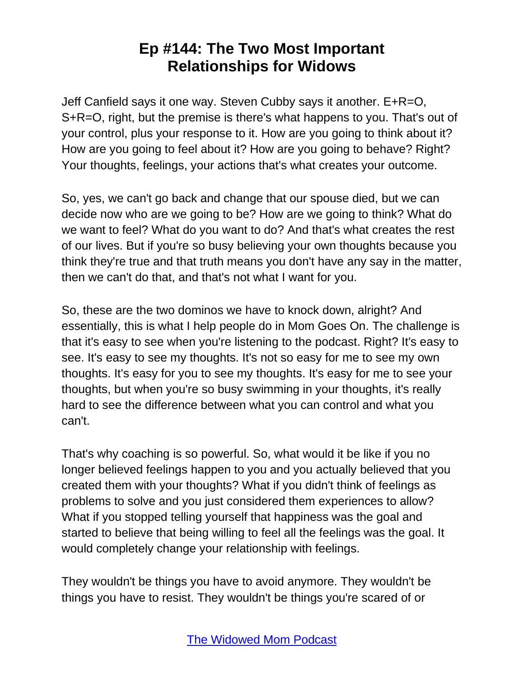Jeff Canfield says it one way. Steven Cubby says it another. E+R=O, S+R=O, right, but the premise is there's what happens to you. That's out of your control, plus your response to it. How are you going to think about it? How are you going to feel about it? How are you going to behave? Right? Your thoughts, feelings, your actions that's what creates your outcome.

So, yes, we can't go back and change that our spouse died, but we can decide now who are we going to be? How are we going to think? What do we want to feel? What do you want to do? And that's what creates the rest of our lives. But if you're so busy believing your own thoughts because you think they're true and that truth means you don't have any say in the matter, then we can't do that, and that's not what I want for you.

So, these are the two dominos we have to knock down, alright? And essentially, this is what I help people do in Mom Goes On. The challenge is that it's easy to see when you're listening to the podcast. Right? It's easy to see. It's easy to see my thoughts. It's not so easy for me to see my own thoughts. It's easy for you to see my thoughts. It's easy for me to see your thoughts, but when you're so busy swimming in your thoughts, it's really hard to see the difference between what you can control and what you can't.

That's why coaching is so powerful. So, what would it be like if you no longer believed feelings happen to you and you actually believed that you created them with your thoughts? What if you didn't think of feelings as problems to solve and you just considered them experiences to allow? What if you stopped telling yourself that happiness was the goal and started to believe that being willing to feel all the feelings was the goal. It would completely change your relationship with feelings.

They wouldn't be things you have to avoid anymore. They wouldn't be things you have to resist. They wouldn't be things you're scared of or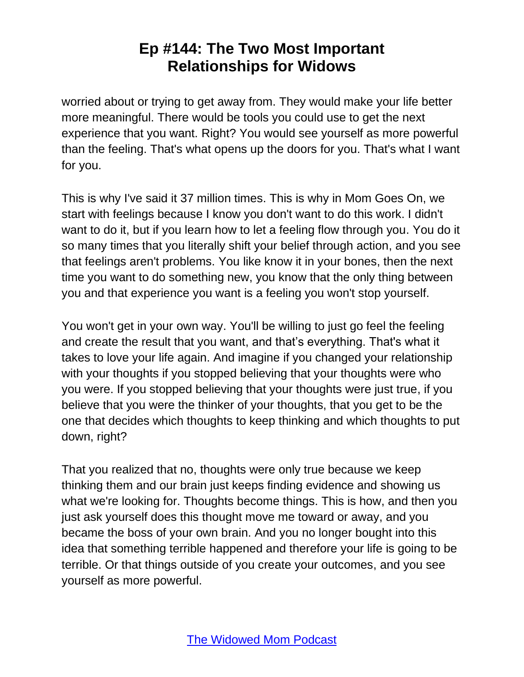worried about or trying to get away from. They would make your life better more meaningful. There would be tools you could use to get the next experience that you want. Right? You would see yourself as more powerful than the feeling. That's what opens up the doors for you. That's what I want for you.

This is why I've said it 37 million times. This is why in Mom Goes On, we start with feelings because I know you don't want to do this work. I didn't want to do it, but if you learn how to let a feeling flow through you. You do it so many times that you literally shift your belief through action, and you see that feelings aren't problems. You like know it in your bones, then the next time you want to do something new, you know that the only thing between you and that experience you want is a feeling you won't stop yourself.

You won't get in your own way. You'll be willing to just go feel the feeling and create the result that you want, and that's everything. That's what it takes to love your life again. And imagine if you changed your relationship with your thoughts if you stopped believing that your thoughts were who you were. If you stopped believing that your thoughts were just true, if you believe that you were the thinker of your thoughts, that you get to be the one that decides which thoughts to keep thinking and which thoughts to put down, right?

That you realized that no, thoughts were only true because we keep thinking them and our brain just keeps finding evidence and showing us what we're looking for. Thoughts become things. This is how, and then you just ask yourself does this thought move me toward or away, and you became the boss of your own brain. And you no longer bought into this idea that something terrible happened and therefore your life is going to be terrible. Or that things outside of you create your outcomes, and you see yourself as more powerful.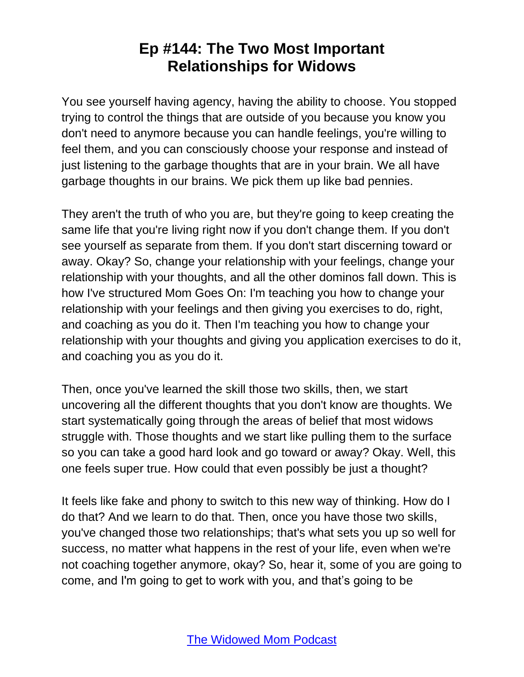You see yourself having agency, having the ability to choose. You stopped trying to control the things that are outside of you because you know you don't need to anymore because you can handle feelings, you're willing to feel them, and you can consciously choose your response and instead of just listening to the garbage thoughts that are in your brain. We all have garbage thoughts in our brains. We pick them up like bad pennies.

They aren't the truth of who you are, but they're going to keep creating the same life that you're living right now if you don't change them. If you don't see yourself as separate from them. If you don't start discerning toward or away. Okay? So, change your relationship with your feelings, change your relationship with your thoughts, and all the other dominos fall down. This is how I've structured Mom Goes On: I'm teaching you how to change your relationship with your feelings and then giving you exercises to do, right, and coaching as you do it. Then I'm teaching you how to change your relationship with your thoughts and giving you application exercises to do it, and coaching you as you do it.

Then, once you've learned the skill those two skills, then, we start uncovering all the different thoughts that you don't know are thoughts. We start systematically going through the areas of belief that most widows struggle with. Those thoughts and we start like pulling them to the surface so you can take a good hard look and go toward or away? Okay. Well, this one feels super true. How could that even possibly be just a thought?

It feels like fake and phony to switch to this new way of thinking. How do I do that? And we learn to do that. Then, once you have those two skills, you've changed those two relationships; that's what sets you up so well for success, no matter what happens in the rest of your life, even when we're not coaching together anymore, okay? So, hear it, some of you are going to come, and I'm going to get to work with you, and that's going to be